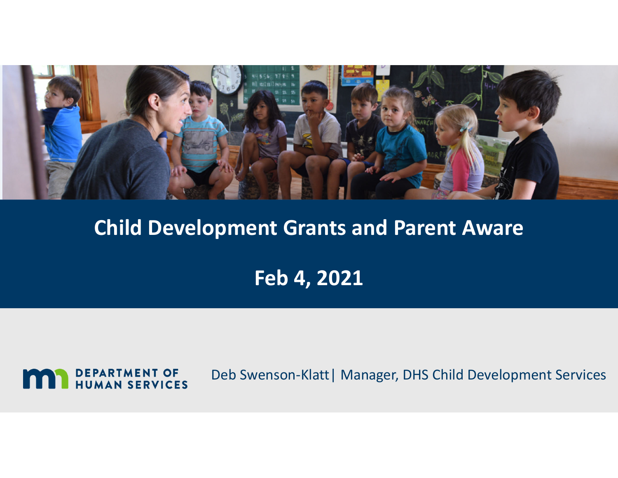

#### **Child Development Grants and Parent Aware**

**Feb 4, 2021**



Deb Swenson‐Klatt| Manager, DHS Child Development Services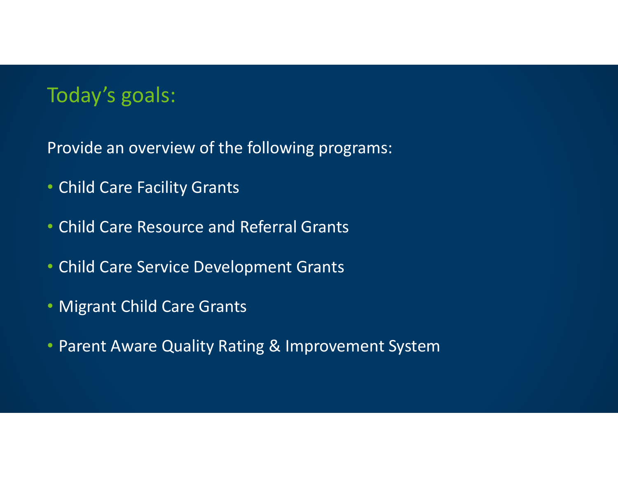## Today's goals:

Provide an overview of the following programs:

- Child Care Facility Grants
- Child Care Resource and Referral Grants
- Child Care Service Development Grants
- Migrant Child Care Grants
- Parent Aware Quality Rating & Improvement System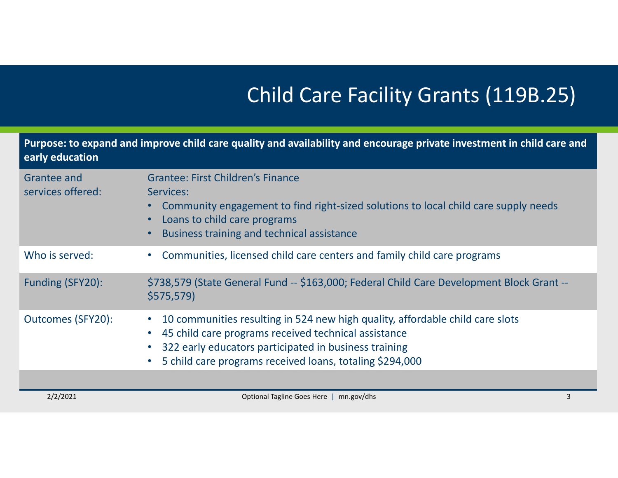# Child Care Facility Grants (119B.25)

| Purpose: to expand and improve child care quality and availability and encourage private investment in child care and<br>early education |                                                                                                                                                                                                                                                                                      |   |
|------------------------------------------------------------------------------------------------------------------------------------------|--------------------------------------------------------------------------------------------------------------------------------------------------------------------------------------------------------------------------------------------------------------------------------------|---|
| <b>Grantee and</b><br>services offered:                                                                                                  | <b>Grantee: First Children's Finance</b><br>Services:<br>Community engagement to find right-sized solutions to local child care supply needs<br>Loans to child care programs<br>Business training and technical assistance                                                           |   |
| Who is served:                                                                                                                           | Communities, licensed child care centers and family child care programs                                                                                                                                                                                                              |   |
| Funding (SFY20):                                                                                                                         | \$738,579 (State General Fund -- \$163,000; Federal Child Care Development Block Grant --<br>\$575,579                                                                                                                                                                               |   |
| <b>Outcomes (SFY20):</b>                                                                                                                 | 10 communities resulting in 524 new high quality, affordable child care slots<br>45 child care programs received technical assistance<br>$\bullet$<br>322 early educators participated in business training<br>5 child care programs received loans, totaling \$294,000<br>$\bullet$ |   |
| 2/2/2021                                                                                                                                 | Optional Tagline Goes Here  <br>mn.gov/dhs                                                                                                                                                                                                                                           | 3 |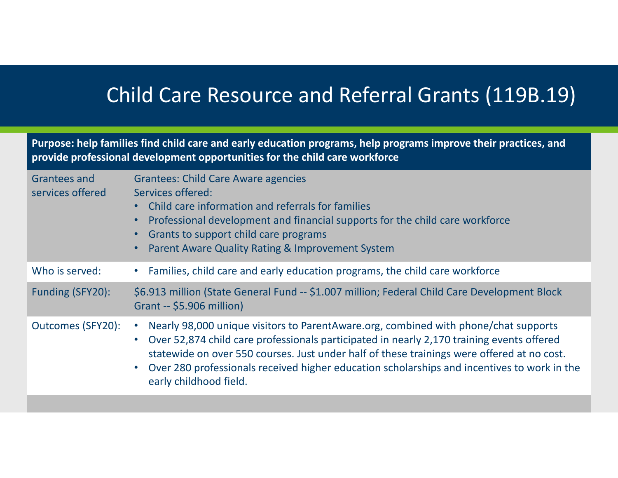# Child Care Resource and Referral Grants (119B.19)

Purpose: help families find child care and early education programs, help programs improve their practices, and **provide professional development opportunities for the child care workforce**

| Grantees and<br>services offered | <b>Grantees: Child Care Aware agencies</b><br>Services offered:<br>Child care information and referrals for families<br>$\bullet$<br>Professional development and financial supports for the child care workforce<br>$\bullet$<br>Grants to support child care programs<br>$\bullet$<br><b>Parent Aware Quality Rating &amp; Improvement System</b>                                                                                            |
|----------------------------------|------------------------------------------------------------------------------------------------------------------------------------------------------------------------------------------------------------------------------------------------------------------------------------------------------------------------------------------------------------------------------------------------------------------------------------------------|
| Who is served:                   | Families, child care and early education programs, the child care workforce                                                                                                                                                                                                                                                                                                                                                                    |
| Funding (SFY20):                 | \$6.913 million (State General Fund -- \$1.007 million; Federal Child Care Development Block<br>Grant -- \$5.906 million)                                                                                                                                                                                                                                                                                                                      |
| Outcomes (SFY20):                | Nearly 98,000 unique visitors to ParentAware.org, combined with phone/chat supports<br>$\bullet$<br>Over 52,874 child care professionals participated in nearly 2,170 training events offered<br>$\bullet$<br>statewide on over 550 courses. Just under half of these trainings were offered at no cost.<br>Over 280 professionals received higher education scholarships and incentives to work in the<br>$\bullet$<br>early childhood field. |
|                                  |                                                                                                                                                                                                                                                                                                                                                                                                                                                |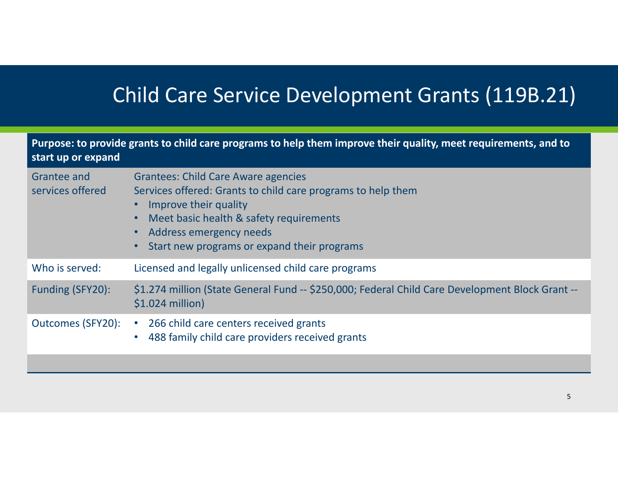# Child Care Service Development Grants (119B.21)

| Purpose: to provide grants to child care programs to help them improve their quality, meet requirements, and to<br>start up or expand |                                                                                                                                                                                                                                                                                                              |  |
|---------------------------------------------------------------------------------------------------------------------------------------|--------------------------------------------------------------------------------------------------------------------------------------------------------------------------------------------------------------------------------------------------------------------------------------------------------------|--|
| Grantee and<br>services offered                                                                                                       | <b>Grantees: Child Care Aware agencies</b><br>Services offered: Grants to child care programs to help them<br>Improve their quality<br>$\bullet$<br>Meet basic health & safety requirements<br>$\bullet$<br>Address emergency needs<br>$\bullet$<br>Start new programs or expand their programs<br>$\bullet$ |  |
| Who is served:                                                                                                                        | Licensed and legally unlicensed child care programs                                                                                                                                                                                                                                                          |  |
| Funding (SFY20):                                                                                                                      | \$1.274 million (State General Fund -- \$250,000; Federal Child Care Development Block Grant --<br>$$1.024$ million)                                                                                                                                                                                         |  |
| <b>Outcomes (SFY20):</b>                                                                                                              | 266 child care centers received grants<br>$\bullet$<br>488 family child care providers received grants<br>$\bullet$                                                                                                                                                                                          |  |
|                                                                                                                                       |                                                                                                                                                                                                                                                                                                              |  |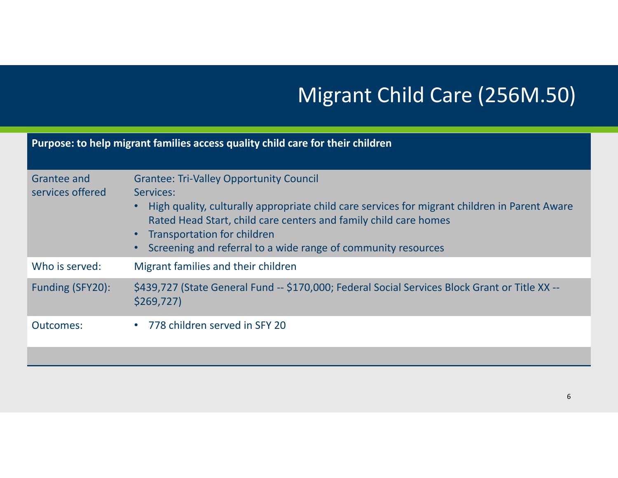# Migrant Child Care (256M.50)

| Purpose: to help migrant families access quality child care for their children |                                                                                                                                                                                                                                                                                                                                                                   |  |
|--------------------------------------------------------------------------------|-------------------------------------------------------------------------------------------------------------------------------------------------------------------------------------------------------------------------------------------------------------------------------------------------------------------------------------------------------------------|--|
| Grantee and<br>services offered                                                | <b>Grantee: Tri-Valley Opportunity Council</b><br>Services:<br>High quality, culturally appropriate child care services for migrant children in Parent Aware<br>Rated Head Start, child care centers and family child care homes<br><b>Transportation for children</b><br>$\bullet$<br>Screening and referral to a wide range of community resources<br>$\bullet$ |  |
| Who is served:                                                                 | Migrant families and their children                                                                                                                                                                                                                                                                                                                               |  |
| Funding (SFY20):                                                               | \$439,727 (State General Fund -- \$170,000; Federal Social Services Block Grant or Title XX --<br>\$269,727                                                                                                                                                                                                                                                       |  |
| Outcomes:                                                                      | • 778 children served in SFY 20                                                                                                                                                                                                                                                                                                                                   |  |
|                                                                                |                                                                                                                                                                                                                                                                                                                                                                   |  |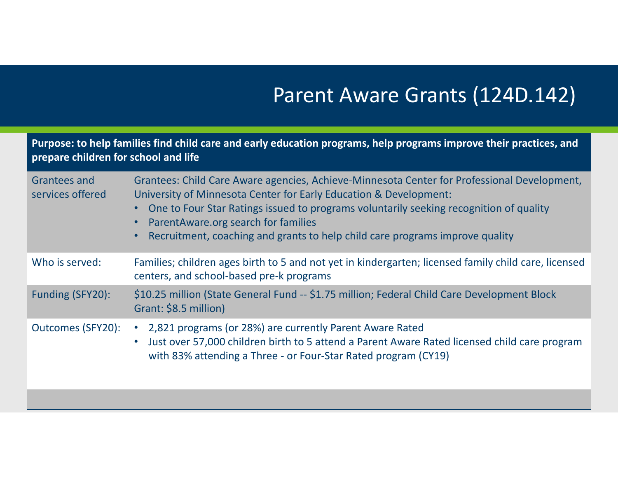# Parent Aware Grants (124D.142)

| Purpose: to help families find child care and early education programs, help programs improve their practices, and<br>prepare children for school and life |                                                                                                                                                                                                                                                                                                                                                                                                |  |
|------------------------------------------------------------------------------------------------------------------------------------------------------------|------------------------------------------------------------------------------------------------------------------------------------------------------------------------------------------------------------------------------------------------------------------------------------------------------------------------------------------------------------------------------------------------|--|
| Grantees and<br>services offered                                                                                                                           | Grantees: Child Care Aware agencies, Achieve-Minnesota Center for Professional Development,<br>University of Minnesota Center for Early Education & Development:<br>One to Four Star Ratings issued to programs voluntarily seeking recognition of quality<br>ParentAware.org search for families<br>Recruitment, coaching and grants to help child care programs improve quality<br>$\bullet$ |  |
| Who is served:                                                                                                                                             | Families; children ages birth to 5 and not yet in kindergarten; licensed family child care, licensed<br>centers, and school-based pre-k programs                                                                                                                                                                                                                                               |  |
| Funding (SFY20):                                                                                                                                           | \$10.25 million (State General Fund -- \$1.75 million; Federal Child Care Development Block<br>Grant: \$8.5 million)                                                                                                                                                                                                                                                                           |  |
| Outcomes (SFY20):                                                                                                                                          | • 2,821 programs (or 28%) are currently Parent Aware Rated<br>Just over 57,000 children birth to 5 attend a Parent Aware Rated licensed child care program<br>$\bullet$<br>with 83% attending a Three - or Four-Star Rated program (CY19)                                                                                                                                                      |  |
|                                                                                                                                                            |                                                                                                                                                                                                                                                                                                                                                                                                |  |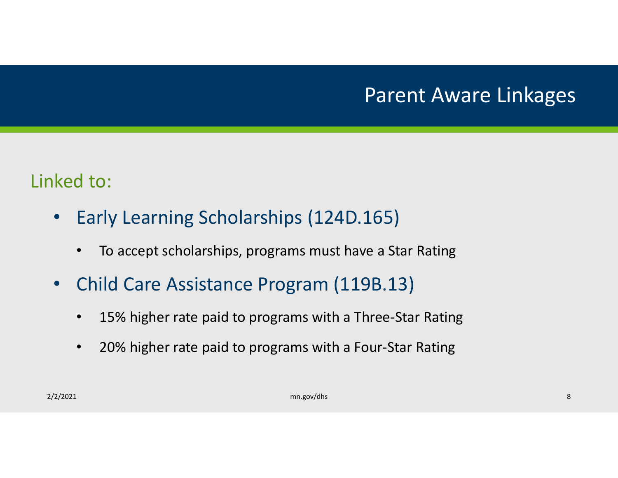# Parent Aware Linkages

#### Linked to:

- $\bullet$  Early Learning Scholarships (124D.165)
	- $\bullet$ To accept scholarships, programs must have <sup>a</sup> Star Rating
- • Child Care Assistance Program (119B.13)
	- $\bullet$ 15% higher rate paid to programs with <sup>a</sup> Three‐Star Rating
	- $\bullet$ 20% higher rate paid to programs with <sup>a</sup> Four‐Star Rating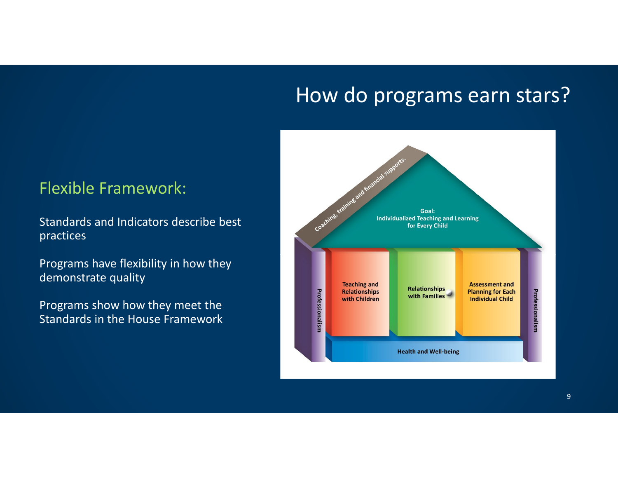#### How do programs earn stars?

#### Flexible Framework:

Standards and Indicators describe best practices

Programs have flexibility in how they demonstrate quality

Programs show how they meet the Standards in the House Framework

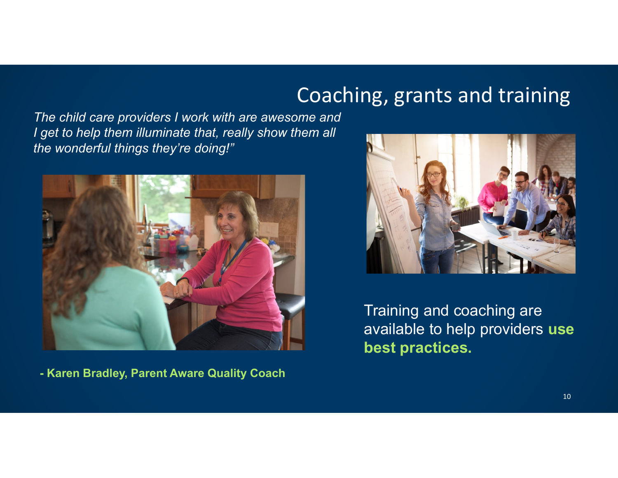### Coaching, grants and training

*The child care providers I work with are awesome and I get to help them illuminate that, really show them all the wonderful things they're doing!"*



**- Karen Bradley, Parent Aware Quality Coach**



Training and coaching are available to help providers **use best practices.**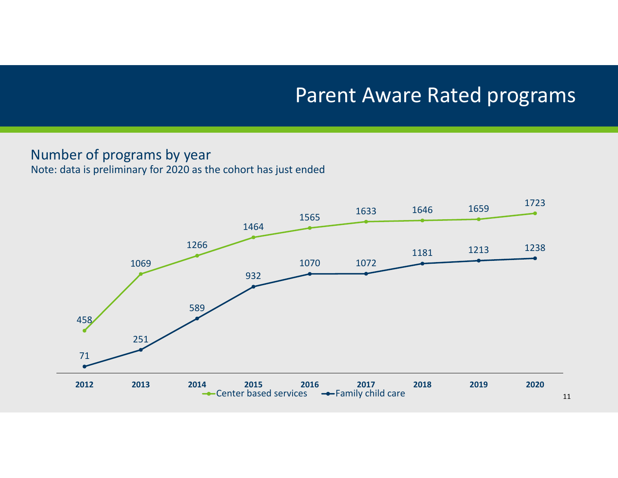#### Parent Aware Rated programs

#### Number of programs by year

Note: data is preliminary for 2020 as the cohort has just ended

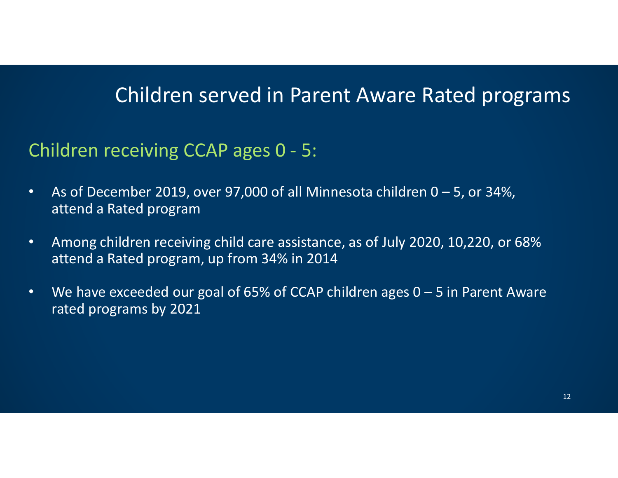### Children served in Parent Aware Rated programs

#### Children receiving CCAP ages 0 ‐ 5:

- • As of December 2019, over 97,000 of all Minnesota children 0 – 5, or 34%, attend <sup>a</sup> Rated program
- $\bullet$  Among children receiving child care assistance, as of July 2020, 10,220, or 68% attend <sup>a</sup> Rated program, up from 34% in 2014
- • We have exceeded our goal of 65% of CCAP children ages 0 – 5 in Parent Aware rated programs by 2021